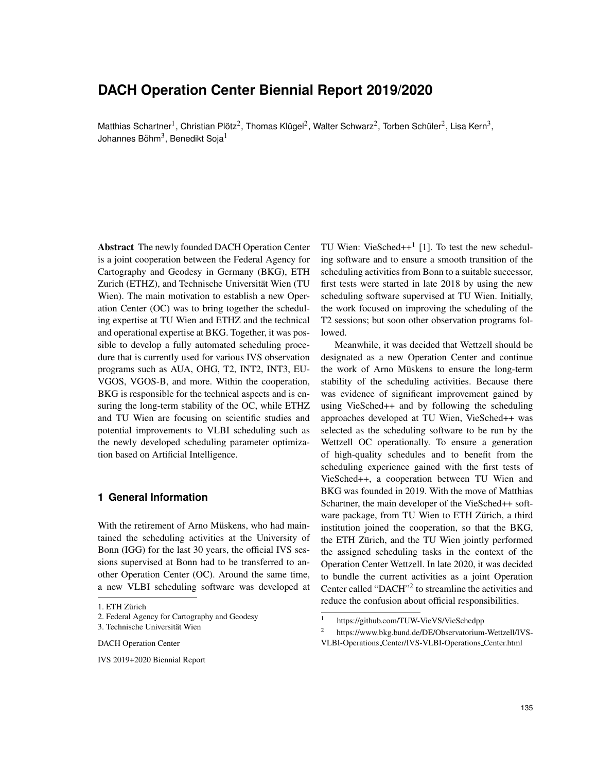# **DACH Operation Center Biennial Report 2019/2020**

Matthias Schartner<sup>1</sup>, Christian Plötz<sup>2</sup>, Thomas Klügel<sup>2</sup>, Walter Schwarz<sup>2</sup>, Torben Schüler<sup>2</sup>, Lisa Kern<sup>3</sup>, Johannes Böhm $^3$ , Benedikt Soja $^1$ 

Abstract The newly founded DACH Operation Center is a joint cooperation between the Federal Agency for Cartography and Geodesy in Germany (BKG), ETH Zurich (ETHZ), and Technische Universität Wien (TU Wien). The main motivation to establish a new Operation Center (OC) was to bring together the scheduling expertise at TU Wien and ETHZ and the technical and operational expertise at BKG. Together, it was possible to develop a fully automated scheduling procedure that is currently used for various IVS observation programs such as AUA, OHG, T2, INT2, INT3, EU-VGOS, VGOS-B, and more. Within the cooperation, BKG is responsible for the technical aspects and is ensuring the long-term stability of the OC, while ETHZ and TU Wien are focusing on scientific studies and potential improvements to VLBI scheduling such as the newly developed scheduling parameter optimization based on Artificial Intelligence.

# **1 General Information**

With the retirement of Arno Müskens, who had maintained the scheduling activities at the University of Bonn (IGG) for the last 30 years, the official IVS sessions supervised at Bonn had to be transferred to another Operation Center (OC). Around the same time, a new VLBI scheduling software was developed at

IVS 2019+2020 Biennial Report

TU Wien: VieSched $++$ <sup>1</sup> [1]. To test the new scheduling software and to ensure a smooth transition of the scheduling activities from Bonn to a suitable successor, first tests were started in late 2018 by using the new scheduling software supervised at TU Wien. Initially, the work focused on improving the scheduling of the T2 sessions; but soon other observation programs followed.

Meanwhile, it was decided that Wettzell should be designated as a new Operation Center and continue the work of Arno Müskens to ensure the long-term stability of the scheduling activities. Because there was evidence of significant improvement gained by using VieSched++ and by following the scheduling approaches developed at TU Wien, VieSched++ was selected as the scheduling software to be run by the Wettzell OC operationally. To ensure a generation of high-quality schedules and to benefit from the scheduling experience gained with the first tests of VieSched++, a cooperation between TU Wien and BKG was founded in 2019. With the move of Matthias Schartner, the main developer of the VieSched++ software package, from TU Wien to ETH Zürich, a third institution joined the cooperation, so that the BKG, the ETH Zürich, and the TU Wien jointly performed the assigned scheduling tasks in the context of the Operation Center Wettzell. In late 2020, it was decided to bundle the current activities as a joint Operation Center called "DACH"<sup>2</sup> to streamline the activities and reduce the confusion about official responsibilities.

<sup>1.</sup> ETH Zürich

<sup>2.</sup> Federal Agency for Cartography and Geodesy

<sup>3.</sup> Technische Universität Wien

DACH Operation Center

<sup>1</sup> https://github.com/TUW-VieVS/VieSchedpp

<sup>2</sup> https://www.bkg.bund.de/DE/Observatorium-Wettzell/IVS-VLBI-Operations Center/IVS-VLBI-Operations Center.html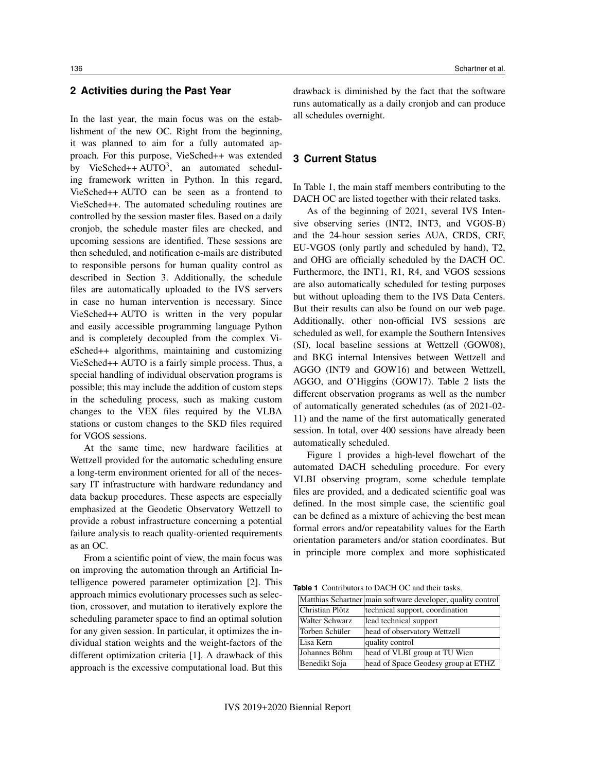## **2 Activities during the Past Year**

In the last year, the main focus was on the establishment of the new OC. Right from the beginning, it was planned to aim for a fully automated approach. For this purpose, VieSched++ was extended by VieSched++ AUTO<sup>3</sup>, an automated scheduling framework written in Python. In this regard, VieSched++ AUTO can be seen as a frontend to VieSched++. The automated scheduling routines are controlled by the session master files. Based on a daily cronjob, the schedule master files are checked, and upcoming sessions are identified. These sessions are then scheduled, and notification e-mails are distributed to responsible persons for human quality control as described in Section 3. Additionally, the schedule files are automatically uploaded to the IVS servers in case no human intervention is necessary. Since VieSched++ AUTO is written in the very popular and easily accessible programming language Python and is completely decoupled from the complex VieSched++ algorithms, maintaining and customizing VieSched++ AUTO is a fairly simple process. Thus, a special handling of individual observation programs is possible; this may include the addition of custom steps in the scheduling process, such as making custom changes to the VEX files required by the VLBA stations or custom changes to the SKD files required for VGOS sessions.

At the same time, new hardware facilities at Wettzell provided for the automatic scheduling ensure a long-term environment oriented for all of the necessary IT infrastructure with hardware redundancy and data backup procedures. These aspects are especially emphasized at the Geodetic Observatory Wettzell to provide a robust infrastructure concerning a potential failure analysis to reach quality-oriented requirements as an OC.

From a scientific point of view, the main focus was on improving the automation through an Artificial Intelligence powered parameter optimization [2]. This approach mimics evolutionary processes such as selection, crossover, and mutation to iteratively explore the scheduling parameter space to find an optimal solution for any given session. In particular, it optimizes the individual station weights and the weight-factors of the different optimization criteria [1]. A drawback of this approach is the excessive computational load. But this

drawback is diminished by the fact that the software runs automatically as a daily cronjob and can produce all schedules overnight.

### **3 Current Status**

In Table 1, the main staff members contributing to the DACH OC are listed together with their related tasks.

As of the beginning of 2021, several IVS Intensive observing series (INT2, INT3, and VGOS-B) and the 24-hour session series AUA, CRDS, CRF, EU-VGOS (only partly and scheduled by hand), T2, and OHG are officially scheduled by the DACH OC. Furthermore, the INT1, R1, R4, and VGOS sessions are also automatically scheduled for testing purposes but without uploading them to the IVS Data Centers. But their results can also be found on our web page. Additionally, other non-official IVS sessions are scheduled as well, for example the Southern Intensives (SI), local baseline sessions at Wettzell (GOW08), and BKG internal Intensives between Wettzell and AGGO (INT9 and GOW16) and between Wettzell, AGGO, and O'Higgins (GOW17). Table 2 lists the different observation programs as well as the number of automatically generated schedules (as of 2021-02- 11) and the name of the first automatically generated session. In total, over 400 sessions have already been automatically scheduled.

Figure 1 provides a high-level flowchart of the automated DACH scheduling procedure. For every VLBI observing program, some schedule template files are provided, and a dedicated scientific goal was defined. In the most simple case, the scientific goal can be defined as a mixture of achieving the best mean formal errors and/or repeatability values for the Earth orientation parameters and/or station coordinates. But in principle more complex and more sophisticated

**Table 1** Contributors to DACH OC and their tasks.

|                       | Matthias Schartner main software developer, quality control |  |
|-----------------------|-------------------------------------------------------------|--|
| Christian Plötz       | technical support, coordination                             |  |
| <b>Walter Schwarz</b> | lead technical support                                      |  |
| Torben Schüler        | head of observatory Wettzell                                |  |
| Lisa Kern             | quality control                                             |  |
| Johannes Böhm         | head of VLBI group at TU Wien                               |  |
| Benedikt Soja         | head of Space Geodesy group at ETHZ                         |  |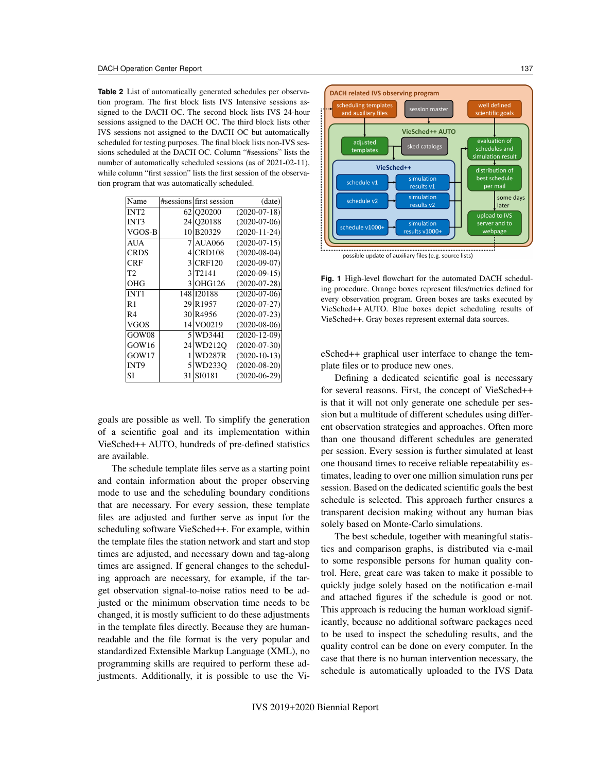**Table 2** List of automatically generated schedules per observation program. The first block lists IVS Intensive sessions assigned to the DACH OC. The second block lists IVS 24-hour sessions assigned to the DACH OC. The third block lists other IVS sessions not assigned to the DACH OC but automatically scheduled for testing purposes. The final block lists non-IVS sessions scheduled at the DACH OC. Column "#sessions" lists the number of automatically scheduled sessions (as of 2021-02-11), while column "first session" lists the first session of the observation program that was automatically scheduled.

| Name             |    | #sessions first session | (data)             |
|------------------|----|-------------------------|--------------------|
| INT <sub>2</sub> |    | 62 020200               | $(2020-07-18)$     |
| <b>INT3</b>      |    | 24 Q20188               | $(2020-07-06)$     |
| VGOS-B           |    | 10 B 20329              | $(2020 - 11 - 24)$ |
| AUA              |    | AUA066                  | $(2020-07-15)$     |
| CRDS             | 4  | <b>CRD108</b>           | $(2020-08-04)$     |
| CRF              | 3  | <b>CRF120</b>           | $(2020-09-07)$     |
| T2               | 3  | T <sub>2</sub> 141      | $(2020-09-15)$     |
| OHG              |    | 3 OHG126                | $(2020-07-28)$     |
| <b>INT1</b>      |    | 148 120188              | $(2020-07-06)$     |
| R1               |    | 29 R 1957               | $(2020-07-27)$     |
| R4               |    | 30 R4956                | $(2020-07-23)$     |
| VGOS             |    | 14 VO0219               | $(2020-08-06)$     |
| GOW08            |    | 5 WD344I                | $(2020 - 12 - 09)$ |
| GOW16            |    | 24 WD2120               | $(2020-07-30)$     |
| GOW17            | 1  | WD287R                  | $(2020-10-13)$     |
| INT9             |    | 5 WD233O                | $(2020-08-20)$     |
| SI               | 31 | SI0181                  | $(2020-06-29)$     |

goals are possible as well. To simplify the generation of a scientific goal and its implementation within VieSched++ AUTO, hundreds of pre-defined statistics are available.

The schedule template files serve as a starting point and contain information about the proper observing mode to use and the scheduling boundary conditions that are necessary. For every session, these template files are adjusted and further serve as input for the scheduling software VieSched++. For example, within the template files the station network and start and stop times are adjusted, and necessary down and tag-along times are assigned. If general changes to the scheduling approach are necessary, for example, if the target observation signal-to-noise ratios need to be adjusted or the minimum observation time needs to be changed, it is mostly sufficient to do these adjustments in the template files directly. Because they are humanreadable and the file format is the very popular and standardized Extensible Markup Language (XML), no programming skills are required to perform these adjustments. Additionally, it is possible to use the Vi-



possible update of auxiliary files (e.g. source lists)

**Fig. 1** High-level flowchart for the automated DACH scheduling procedure. Orange boxes represent files/metrics defined for every observation program. Green boxes are tasks executed by VieSched++ AUTO. Blue boxes depict scheduling results of VieSched++. Gray boxes represent external data sources.

eSched++ graphical user interface to change the template files or to produce new ones.

Defining a dedicated scientific goal is necessary for several reasons. First, the concept of VieSched++ is that it will not only generate one schedule per session but a multitude of different schedules using different observation strategies and approaches. Often more than one thousand different schedules are generated per session. Every session is further simulated at least one thousand times to receive reliable repeatability estimates, leading to over one million simulation runs per session. Based on the dedicated scientific goals the best schedule is selected. This approach further ensures a transparent decision making without any human bias solely based on Monte-Carlo simulations.

The best schedule, together with meaningful statistics and comparison graphs, is distributed via e-mail to some responsible persons for human quality control. Here, great care was taken to make it possible to quickly judge solely based on the notification e-mail and attached figures if the schedule is good or not. This approach is reducing the human workload significantly, because no additional software packages need to be used to inspect the scheduling results, and the quality control can be done on every computer. In the case that there is no human intervention necessary, the schedule is automatically uploaded to the IVS Data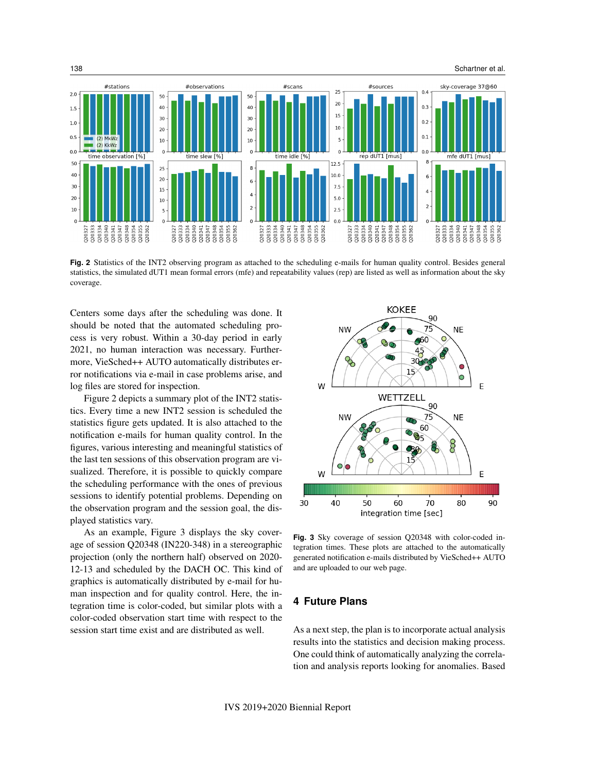

**Fig. 2** Statistics of the INT2 observing program as attached to the scheduling e-mails for human quality control. Besides general statistics, the simulated dUT1 mean formal errors (mfe) and repeatability values (rep) are listed as well as information about the sky coverage.

Q20347

Q20327<br>Q20333 Q20334 Q20340<br>Q20341 Q20347<br>Q20348<br>Q20354 Q20355<br>Q20362

Q20333<br>Q20334 Q20340 Q20341 Q20348<br>Q20354 Q20355<br>Q20362

Q20327

Centers some days after the scheduling was done. It should be noted that the automated scheduling process is very robust. Within a 30-day period in early 2021, no human interaction was necessary. Furthermore, VieSched++ AUTO automatically distributes error notifications via e-mail in case problems arise, and log files are stored for inspection.

Q20340 Q20341<br>Q20347<br>Q20348<br>Q20354

Q20355 020362

Q20327 Q20333 Q20334

Q20327<br>Q20333 Q20340

Q20334

Q20341<br>Q20347<br>Q20354<br>Q20355<br>Q20362

Figure 2 depicts a summary plot of the INT2 statistics. Every time a new INT2 session is scheduled the statistics figure gets updated. It is also attached to the notification e-mails for human quality control. In the figures, various interesting and meaningful statistics of the last ten sessions of this observation program are visualized. Therefore, it is possible to quickly compare the scheduling performance with the ones of previous sessions to identify potential problems. Depending on the observation program and the session goal, the displayed statistics vary.

As an example, Figure 3 displays the sky coverage of session Q20348 (IN220-348) in a stereographic projection (only the northern half) observed on 2020- 12-13 and scheduled by the DACH OC. This kind of graphics is automatically distributed by e-mail for human inspection and for quality control. Here, the integration time is color-coded, but similar plots with a color-coded observation start time with respect to the session start time exist and are distributed as well.



Q20334<br>Q20340<br>Q20347<br>Q20354<br>Q20355<br>Q20355<br>Q20355

Q20327<br>Q20333

**Fig. 3** Sky coverage of session Q20348 with color-coded integration times. These plots are attached to the automatically generated notification e-mails distributed by VieSched++ AUTO and are uploaded to our web page.

## **4 Future Plans**

As a next step, the plan is to incorporate actual analysis results into the statistics and decision making process. One could think of automatically analyzing the correlation and analysis reports looking for anomalies. Based